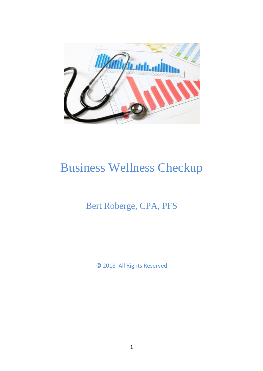

# Business Wellness Checkup

## Bert Roberge, CPA, PFS

© 2018 All Rights Reserved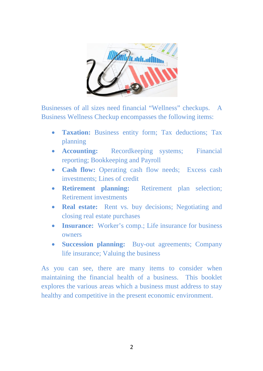

Businesses of all sizes need financial "Wellness" checkups. A Business Wellness Checkup encompasses the following items:

- **Taxation:** Business entity form; Tax deductions; Tax planning
- **Accounting:** Recordkeeping systems; Financial reporting; Bookkeeping and Payroll
- **Cash flow:** Operating cash flow needs; Excess cash investments; Lines of credit
- **Retirement planning:** Retirement plan selection; Retirement investments
- **Real estate:** Rent vs. buy decisions; Negotiating and closing real estate purchases
- **Insurance:** Worker's comp.; Life insurance for business owners
- **Succession planning:** Buy-out agreements; Company life insurance; Valuing the business

As you can see, there are many items to consider when maintaining the financial health of a business. This booklet explores the various areas which a business must address to stay healthy and competitive in the present economic environment.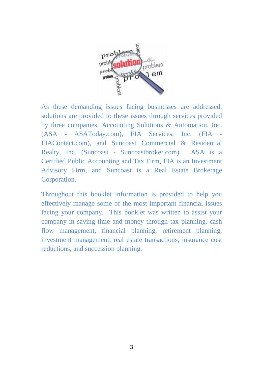

As these demanding issues facing businesses are addressed, solutions are provided to these issues through services provided by three companies: Accounting Solutions & Automation, Inc. (ASA - ASAToday.com), FIA Services, Inc. (FIA - FIAContact.com), and Suncoast Commercial & Residential Realty, Inc. (Suncoast - Suncoastbroker.com). ASA is a Certified Public Accounting and Tax Firm, FIA is an Investment Advisory Firm, and Suncoast is a Real Estate Brokerage Corporation.

Throughout this booklet information is provided to help you effectively manage some of the most important financial issues facing your company. This booklet was written to assist your company in saving time and money through tax planning, cash flow management, financial planning, retirement planning, investment management, real estate transactions, insurance cost reductions, and succession planning.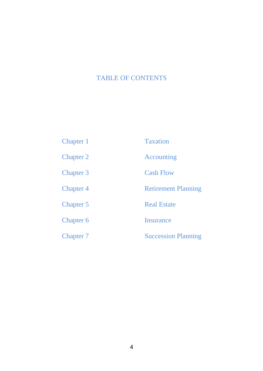### TABLE OF CONTENTS

| Chapter 1 | <b>Taxation</b>            |
|-----------|----------------------------|
| Chapter 2 | Accounting                 |
| Chapter 3 | <b>Cash Flow</b>           |
| Chapter 4 | <b>Retirement Planning</b> |
| Chapter 5 | <b>Real Estate</b>         |
| Chapter 6 | <b>Insurance</b>           |
| Chapter 7 | <b>Succession Planning</b> |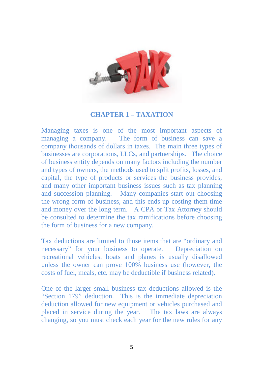

#### **CHAPTER 1 – TAXATION**

Managing taxes is one of the most important aspects of managing a company. The form of business can save a company thousands of dollars in taxes. The main three types of businesses are corporations, LLCs, and partnerships. The choice of business entity depends on many factors including the number and types of owners, the methods used to split profits, losses, and capital, the type of products or services the business provides, and many other important business issues such as tax planning and succession planning. Many companies start out choosing the wrong form of business, and this ends up costing them time and money over the long term. A CPA or Tax Attorney should be consulted to determine the tax ramifications before choosing the form of business for a new company.

Tax deductions are limited to those items that are "ordinary and necessary" for your business to operate. Depreciation on recreational vehicles, boats and planes is usually disallowed unless the owner can prove 100% business use (however, the costs of fuel, meals, etc. may be deductible if business related).

One of the larger small business tax deductions allowed is the "Section 179" deduction. This is the immediate depreciation deduction allowed for new equipment or vehicles purchased and placed in service during the year. The tax laws are always changing, so you must check each year for the new rules for any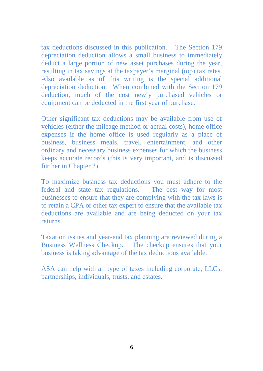tax deductions discussed in this publication. The Section 179 depreciation deduction allows a small business to immediately deduct a large portion of new asset purchases during the year, resulting in tax savings at the taxpayer's marginal (top) tax rates. Also available as of this writing is the special additional depreciation deduction. When combined with the Section 179 deduction, much of the cost newly purchased vehicles or equipment can be deducted in the first year of purchase.

Other significant tax deductions may be available from use of vehicles (either the mileage method or actual costs), home office expenses if the home office is used regularly as a place of business, business meals, travel, entertainment, and other ordinary and necessary business expenses for which the business keeps accurate records (this is very important, and is discussed further in Chapter 2).

To maximize business tax deductions you must adhere to the federal and state tax regulations. The best way for most businesses to ensure that they are complying with the tax laws is to retain a CPA or other tax expert to ensure that the available tax deductions are available and are being deducted on your tax returns.

Taxation issues and year-end tax planning are reviewed during a Business Wellness Checkup. The checkup ensures that your business is taking advantage of the tax deductions available.

ASA can help with all type of taxes including corporate, LLCs, partnerships, individuals, trusts, and estates.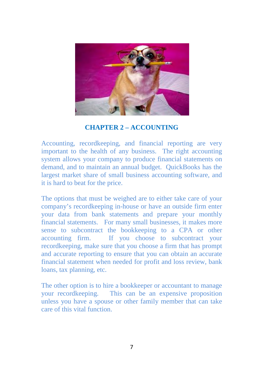

#### **CHAPTER 2 – ACCOUNTING**

Accounting, recordkeeping, and financial reporting are very important to the health of any business. The right accounting system allows your company to produce financial statements on demand, and to maintain an annual budget. QuickBooks has the largest market share of small business accounting software, and it is hard to beat for the price.

The options that must be weighed are to either take care of your company's recordkeeping in-house or have an outside firm enter your data from bank statements and prepare your monthly financial statements. For many small businesses, it makes more sense to subcontract the bookkeeping to a CPA or other accounting firm. If you choose to subcontract your recordkeeping, make sure that you choose a firm that has prompt and accurate reporting to ensure that you can obtain an accurate financial statement when needed for profit and loss review, bank loans, tax planning, etc.

The other option is to hire a bookkeeper or accountant to manage your recordkeeping. This can be an expensive proposition unless you have a spouse or other family member that can take care of this vital function.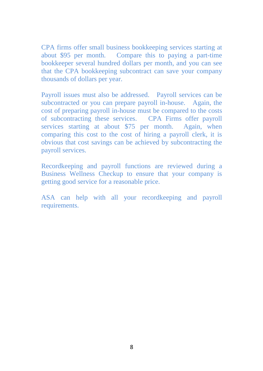CPA firms offer small business bookkeeping services starting at about \$95 per month. Compare this to paying a part-time bookkeeper several hundred dollars per month, and you can see that the CPA bookkeeping subcontract can save your company thousands of dollars per year.

Payroll issues must also be addressed. Payroll services can be subcontracted or you can prepare payroll in-house. Again, the cost of preparing payroll in-house must be compared to the costs of subcontracting these services. CPA Firms offer payroll services starting at about \$75 per month. Again, when comparing this cost to the cost of hiring a payroll clerk, it is obvious that cost savings can be achieved by subcontracting the payroll services.

Recordkeeping and payroll functions are reviewed during a Business Wellness Checkup to ensure that your company is getting good service for a reasonable price.

ASA can help with all your recordkeeping and payroll requirements.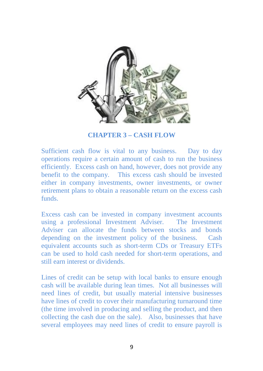

**CHAPTER 3 – CASH FLOW**

Sufficient cash flow is vital to any business. Day to day operations require a certain amount of cash to run the business efficiently. Excess cash on hand, however, does not provide any benefit to the company. This excess cash should be invested either in company investments, owner investments, or owner retirement plans to obtain a reasonable return on the excess cash funds.

Excess cash can be invested in company investment accounts using a professional Investment Adviser. The Investment Adviser can allocate the funds between stocks and bonds depending on the investment policy of the business. Cash equivalent accounts such as short-term CDs or Treasury ETFs can be used to hold cash needed for short-term operations, and still earn interest or dividends.

Lines of credit can be setup with local banks to ensure enough cash will be available during lean times. Not all businesses will need lines of credit, but usually material intensive businesses have lines of credit to cover their manufacturing turnaround time (the time involved in producing and selling the product, and then collecting the cash due on the sale). Also, businesses that have several employees may need lines of credit to ensure payroll is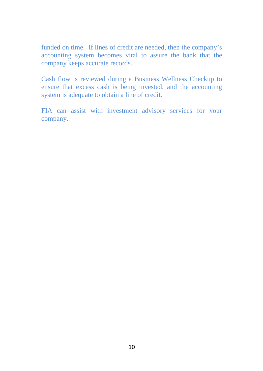funded on time. If lines of credit are needed, then the company's accounting system becomes vital to assure the bank that the company keeps accurate records.

Cash flow is reviewed during a Business Wellness Checkup to ensure that excess cash is being invested, and the accounting system is adequate to obtain a line of credit.

FIA can assist with investment advisory services for your company.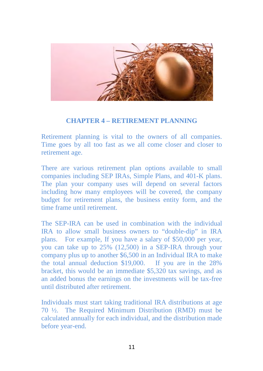

#### **CHAPTER 4 – RETIREMENT PLANNING**

Retirement planning is vital to the owners of all companies. Time goes by all too fast as we all come closer and closer to retirement age.

There are various retirement plan options available to small companies including SEP IRAs, Simple Plans, and 401-K plans. The plan your company uses will depend on several factors including how many employees will be covered, the company budget for retirement plans, the business entity form, and the time frame until retirement.

The SEP-IRA can be used in combination with the individual IRA to allow small business owners to "double-dip" in IRA plans. For example, If you have a salary of \$50,000 per year, you can take up to 25% (12,500) in a SEP-IRA through your company plus up to another \$6,500 in an Individual IRA to make the total annual deduction \$19,000. If you are in the 28% bracket, this would be an immediate \$5,320 tax savings, and as an added bonus the earnings on the investments will be tax-free until distributed after retirement.

Individuals must start taking traditional IRA distributions at age 70 ½. The Required Minimum Distribution (RMD) must be calculated annually for each individual, and the distribution made before year-end.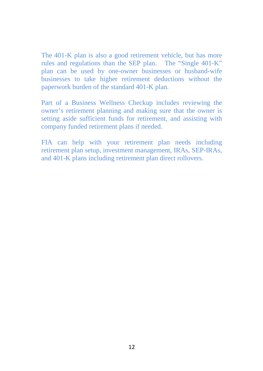The 401-K plan is also a good retirement vehicle, but has more rules and regulations than the SEP plan. The "Single 401-K" plan can be used by one-owner businesses or husband-wife businesses to take higher retirement deductions without the paperwork burden of the standard 401-K plan.

Part of a Business Wellness Checkup includes reviewing the owner's retirement planning and making sure that the owner is setting aside sufficient funds for retirement, and assisting with company funded retirement plans if needed.

FIA can help with your retirement plan needs including retirement plan setup, investment management, IRAs, SEP-IRAs, and 401-K plans including retirement plan direct rollovers.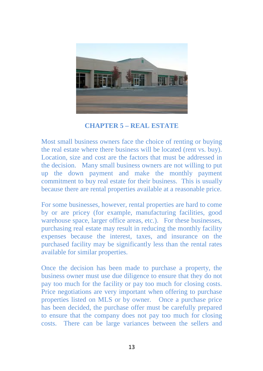

#### **CHAPTER 5 – REAL ESTATE**

Most small business owners face the choice of renting or buying the real estate where there business will be located (rent vs. buy). Location, size and cost are the factors that must be addressed in the decision. Many small business owners are not willing to put up the down payment and make the monthly payment commitment to buy real estate for their business. This is usually because there are rental properties available at a reasonable price.

For some businesses, however, rental properties are hard to come by or are pricey (for example, manufacturing facilities, good warehouse space, larger office areas, etc.). For these businesses, purchasing real estate may result in reducing the monthly facility expenses because the interest, taxes, and insurance on the purchased facility may be significantly less than the rental rates available for similar properties.

Once the decision has been made to purchase a property, the business owner must use due diligence to ensure that they do not pay too much for the facility or pay too much for closing costs. Price negotiations are very important when offering to purchase properties listed on MLS or by owner. Once a purchase price has been decided, the purchase offer must be carefully prepared to ensure that the company does not pay too much for closing costs. There can be large variances between the sellers and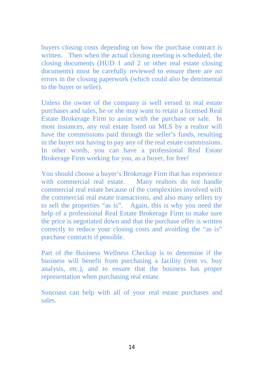buyers closing costs depending on how the purchase contract is written. Then when the actual closing meeting is scheduled, the closing documents (HUD 1 and 2 or other real estate closing documents) must be carefully reviewed to ensure there are no errors in the closing paperwork (which could also be detrimental to the buyer or seller).

Unless the owner of the company is well versed in real estate purchases and sales, he or she may want to retain a licensed Real Estate Brokerage Firm to assist with the purchase or sale. In most instances, any real estate listed on MLS by a realtor will have the commissions paid through the seller's funds, resulting in the buyer not having to pay any of the real estate commissions. In other words, you can have a professional Real Estate Brokerage Firm working for you, as a buyer, for free!

You should choose a buyer's Brokerage Firm that has experience with commercial real estate. Many realtors do not handle commercial real estate because of the complexities involved with the commercial real estate transactions, and also many sellers try to sell the properties "as is". Again, this is why you need the help of a professional Real Estate Brokerage Firm to make sure the price is negotiated down and that the purchase offer is written correctly to reduce your closing costs and avoiding the "as is" purchase contracts if possible.

Part of the Business Wellness Checkup is to determine if the business will benefit from purchasing a facility (rent vs. buy analysis, etc.), and to ensure that the business has proper representation when purchasing real estate.

Suncoast can help with all of your real estate purchases and sales.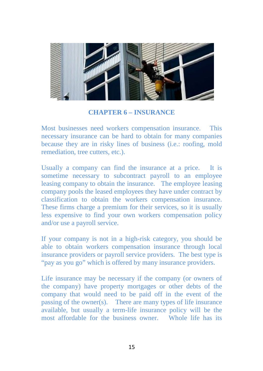

#### **CHAPTER 6 – INSURANCE**

Most businesses need workers compensation insurance. This necessary insurance can be hard to obtain for many companies because they are in risky lines of business (i.e.: roofing, mold remediation, tree cutters, etc.).

Usually a company can find the insurance at a price. It is sometime necessary to subcontract payroll to an employee leasing company to obtain the insurance. The employee leasing company pools the leased employees they have under contract by classification to obtain the workers compensation insurance. These firms charge a premium for their services, so it is usually less expensive to find your own workers compensation policy and/or use a payroll service.

If your company is not in a high-risk category, you should be able to obtain workers compensation insurance through local insurance providers or payroll service providers. The best type is "pay as you go" which is offered by many insurance providers.

Life insurance may be necessary if the company (or owners of the company) have property mortgages or other debts of the company that would need to be paid off in the event of the passing of the owner(s). There are many types of life insurance available, but usually a term-life insurance policy will be the most affordable for the business owner. Whole life has its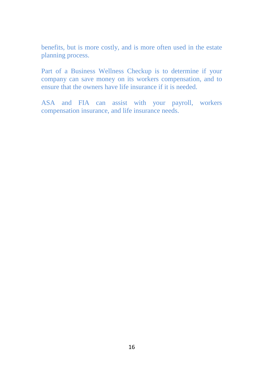benefits, but is more costly, and is more often used in the estate planning process.

Part of a Business Wellness Checkup is to determine if your company can save money on its workers compensation, and to ensure that the owners have life insurance if it is needed.

ASA and FIA can assist with your payroll, workers compensation insurance, and life insurance needs.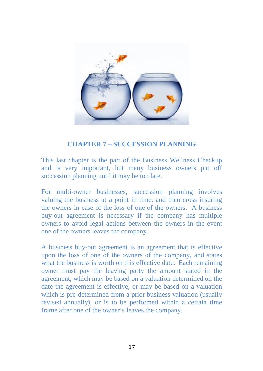

#### **CHAPTER 7 – SUCCESSION PLANNING**

This last chapter is the part of the Business Wellness Checkup and is very important, but many business owners put off succession planning until it may be too late.

For multi-owner businesses, succession planning involves valuing the business at a point in time, and then cross insuring the owners in case of the loss of one of the owners. A business buy-out agreement is necessary if the company has multiple owners to avoid legal actions between the owners in the event one of the owners leaves the company.

A business buy-out agreement is an agreement that is effective upon the loss of one of the owners of the company, and states what the business is worth on this effective date. Each remaining owner must pay the leaving party the amount stated in the agreement, which may be based on a valuation determined on the date the agreement is effective, or may be based on a valuation which is pre-determined from a prior business valuation (usually revised annually), or is to be performed within a certain time frame after one of the owner's leaves the company.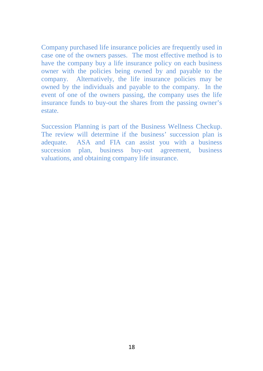Company purchased life insurance policies are frequently used in case one of the owners passes. The most effective method is to have the company buy a life insurance policy on each business owner with the policies being owned by and payable to the company. Alternatively, the life insurance policies may be owned by the individuals and payable to the company. In the event of one of the owners passing, the company uses the life insurance funds to buy-out the shares from the passing owner's estate.

Succession Planning is part of the Business Wellness Checkup. The review will determine if the business' succession plan is adequate. ASA and FIA can assist you with a business succession plan, business buy-out agreement, business valuations, and obtaining company life insurance.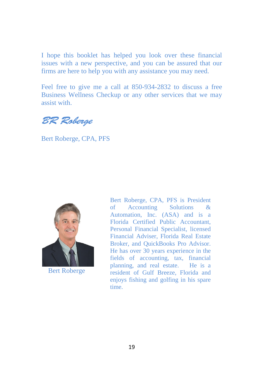I hope this booklet has helped you look over these financial issues with a new perspective, and you can be assured that our firms are here to help you with any assistance you may need.

Feel free to give me a call at 850-934-2832 to discuss a free Business Wellness Checkup or any other services that we may assist with.

BR Roberge

Bert Roberge, CPA, PFS



Bert Roberge

Bert Roberge, CPA, PFS is President of Accounting Solutions & Automation, Inc. (ASA) and is a Florida Certified Public Accountant, Personal Financial Specialist, licensed Financial Adviser, Florida Real Estate Broker, and QuickBooks Pro Advisor. He has over 30 years experience in the fields of accounting, tax, financial planning, and real estate. He is a resident of Gulf Breeze, Florida and enjoys fishing and golfing in his spare time.